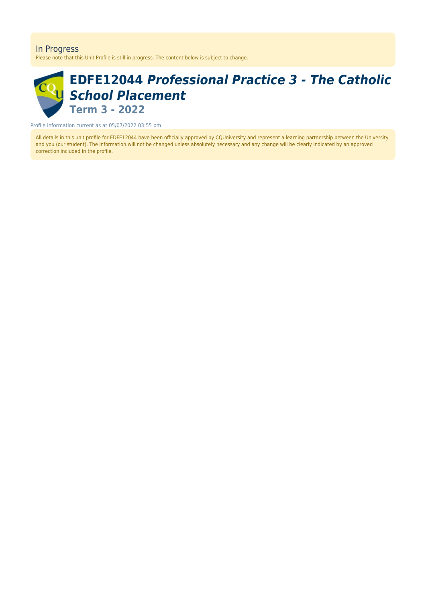#### In Progress

Please note that this Unit Profile is still in progress. The content below is subject to change.

# **EDFE12044** *Professional Practice 3 - The Catholic School Placement* **Term 3 - 2022**

Profile information current as at 05/07/2022 03:55 pm

All details in this unit profile for EDFE12044 have been officially approved by CQUniversity and represent a learning partnership between the University and you (our student). The information will not be changed unless absolutely necessary and any change will be clearly indicated by an approved correction included in the profile.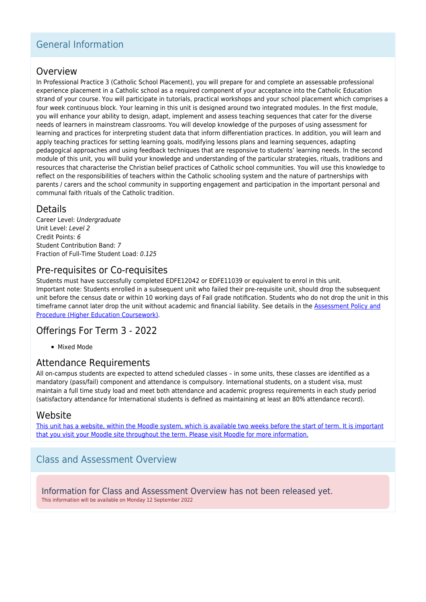## General Information

### Overview

In Professional Practice 3 (Catholic School Placement), you will prepare for and complete an assessable professional experience placement in a Catholic school as a required component of your acceptance into the Catholic Education strand of your course. You will participate in tutorials, practical workshops and your school placement which comprises a four week continuous block. Your learning in this unit is designed around two integrated modules. In the first module, you will enhance your ability to design, adapt, implement and assess teaching sequences that cater for the diverse needs of learners in mainstream classrooms. You will develop knowledge of the purposes of using assessment for learning and practices for interpreting student data that inform differentiation practices. In addition, you will learn and apply teaching practices for setting learning goals, modifying lessons plans and learning sequences, adapting pedagogical approaches and using feedback techniques that are responsive to students' learning needs. In the second module of this unit, you will build your knowledge and understanding of the particular strategies, rituals, traditions and resources that characterise the Christian belief practices of Catholic school communities. You will use this knowledge to reflect on the responsibilities of teachers within the Catholic schooling system and the nature of partnerships with parents / carers and the school community in supporting engagement and participation in the important personal and communal faith rituals of the Catholic tradition.

### Details

Career Level: Undergraduate Unit Level: Level 2 Credit Points: 6 Student Contribution Band: 7 Fraction of Full-Time Student Load: 0.125

## Pre-requisites or Co-requisites

Students must have successfully completed EDFE12042 or EDFE11039 or equivalent to enrol in this unit. Important note: Students enrolled in a subsequent unit who failed their pre-requisite unit, should drop the subsequent unit before the census date or within 10 working days of Fail grade notification. Students who do not drop the unit in this timeframe cannot later drop the unit without academic and financial liability. See details in the **Assessment Policy and** [Procedure \(Higher Education Coursework\)](https://www.cqu.edu.au/policy).

### Offerings For Term 3 - 2022

• Mixed Mode

### Attendance Requirements

All on-campus students are expected to attend scheduled classes – in some units, these classes are identified as a mandatory (pass/fail) component and attendance is compulsory. International students, on a student visa, must maintain a full time study load and meet both attendance and academic progress requirements in each study period (satisfactory attendance for International students is defined as maintaining at least an 80% attendance record).

### Website

[This unit has a website, within the Moodle system, which is available two weeks before the start of term. It is important](https://moodle.cqu.edu.au) [that you visit your Moodle site throughout the term. Please visit Moodle for more information.](https://moodle.cqu.edu.au)

## Class and Assessment Overview

Information for Class and Assessment Overview has not been released yet. This information will be available on Monday 12 September 2022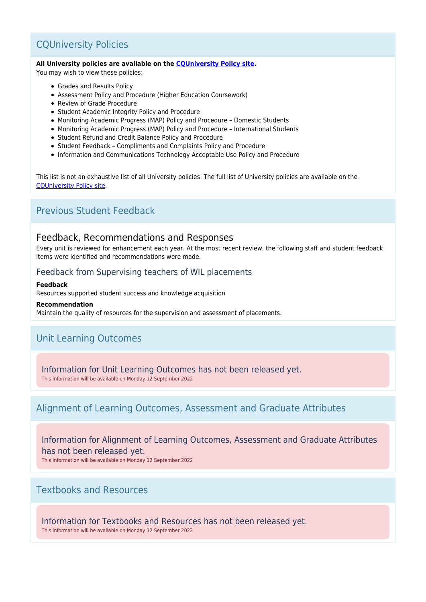## CQUniversity Policies

#### **All University policies are available on the [CQUniversity Policy site.](https://policy.cqu.edu.au/)**

You may wish to view these policies:

- Grades and Results Policy
- Assessment Policy and Procedure (Higher Education Coursework)
- Review of Grade Procedure
- Student Academic Integrity Policy and Procedure
- Monitoring Academic Progress (MAP) Policy and Procedure Domestic Students
- Monitoring Academic Progress (MAP) Policy and Procedure International Students
- Student Refund and Credit Balance Policy and Procedure
- Student Feedback Compliments and Complaints Policy and Procedure
- Information and Communications Technology Acceptable Use Policy and Procedure

This list is not an exhaustive list of all University policies. The full list of University policies are available on the [CQUniversity Policy site.](https://policy.cqu.edu.au/)

## Previous Student Feedback

### Feedback, Recommendations and Responses

Every unit is reviewed for enhancement each year. At the most recent review, the following staff and student feedback items were identified and recommendations were made.

### Feedback from Supervising teachers of WIL placements

#### **Feedback**

Resources supported student success and knowledge acquisition

#### **Recommendation**

Maintain the quality of resources for the supervision and assessment of placements.

## Unit Learning Outcomes

Information for Unit Learning Outcomes has not been released yet.

This information will be available on Monday 12 September 2022

### Alignment of Learning Outcomes, Assessment and Graduate Attributes

Information for Alignment of Learning Outcomes, Assessment and Graduate Attributes has not been released yet.

This information will be available on Monday 12 September 2022

### Textbooks and Resources

Information for Textbooks and Resources has not been released yet. This information will be available on Monday 12 September 2022